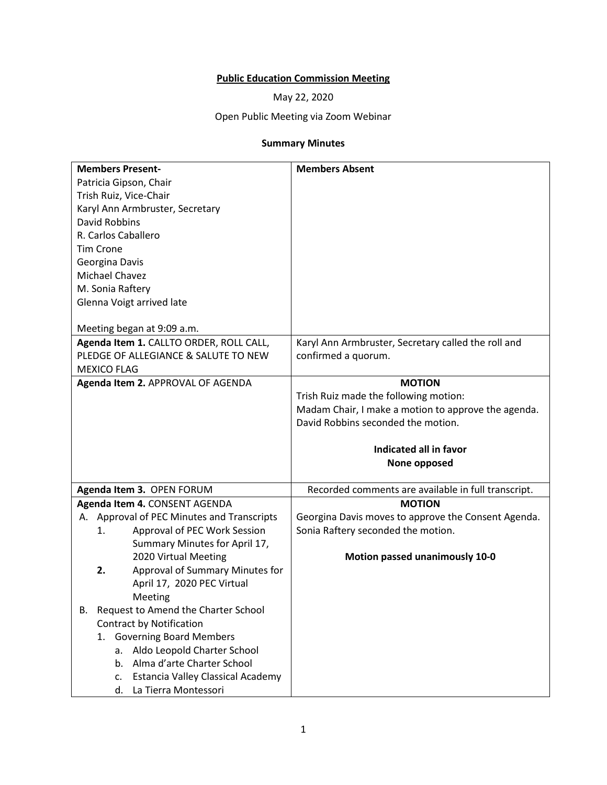## **Public Education Commission Meeting**

May 22, 2020

## Open Public Meeting via Zoom Webinar

## **Summary Minutes**

| <b>Members Present-</b>                    | <b>Members Absent</b>                               |
|--------------------------------------------|-----------------------------------------------------|
| Patricia Gipson, Chair                     |                                                     |
| Trish Ruiz, Vice-Chair                     |                                                     |
| Karyl Ann Armbruster, Secretary            |                                                     |
| <b>David Robbins</b>                       |                                                     |
| R. Carlos Caballero                        |                                                     |
| <b>Tim Crone</b>                           |                                                     |
| Georgina Davis                             |                                                     |
| Michael Chavez                             |                                                     |
| M. Sonia Raftery                           |                                                     |
| Glenna Voigt arrived late                  |                                                     |
|                                            |                                                     |
| Meeting began at 9:09 a.m.                 |                                                     |
| Agenda Item 1. CALLTO ORDER, ROLL CALL,    | Karyl Ann Armbruster, Secretary called the roll and |
| PLEDGE OF ALLEGIANCE & SALUTE TO NEW       | confirmed a quorum.                                 |
| <b>MEXICO FLAG</b>                         |                                                     |
| Agenda Item 2. APPROVAL OF AGENDA          | <b>MOTION</b>                                       |
|                                            | Trish Ruiz made the following motion:               |
|                                            | Madam Chair, I make a motion to approve the agenda. |
|                                            | David Robbins seconded the motion.                  |
|                                            |                                                     |
|                                            | Indicated all in favor                              |
|                                            | None opposed                                        |
| Agenda Item 3. OPEN FORUM                  | Recorded comments are available in full transcript. |
| Agenda Item 4. CONSENT AGENDA              | <b>MOTION</b>                                       |
| A. Approval of PEC Minutes and Transcripts | Georgina Davis moves to approve the Consent Agenda. |
| Approval of PEC Work Session<br>1.         | Sonia Raftery seconded the motion.                  |
| Summary Minutes for April 17,              |                                                     |
| 2020 Virtual Meeting                       | Motion passed unanimously 10-0                      |
| Approval of Summary Minutes for<br>2.      |                                                     |
| April 17, 2020 PEC Virtual                 |                                                     |
|                                            |                                                     |
| Meeting                                    |                                                     |
| Request to Amend the Charter School<br>В.  |                                                     |
| <b>Contract by Notification</b>            |                                                     |
| <b>Governing Board Members</b><br>1.       |                                                     |
| a. Aldo Leopold Charter School             |                                                     |
| b. Alma d'arte Charter School              |                                                     |
| Estancia Valley Classical Academy<br>c.    |                                                     |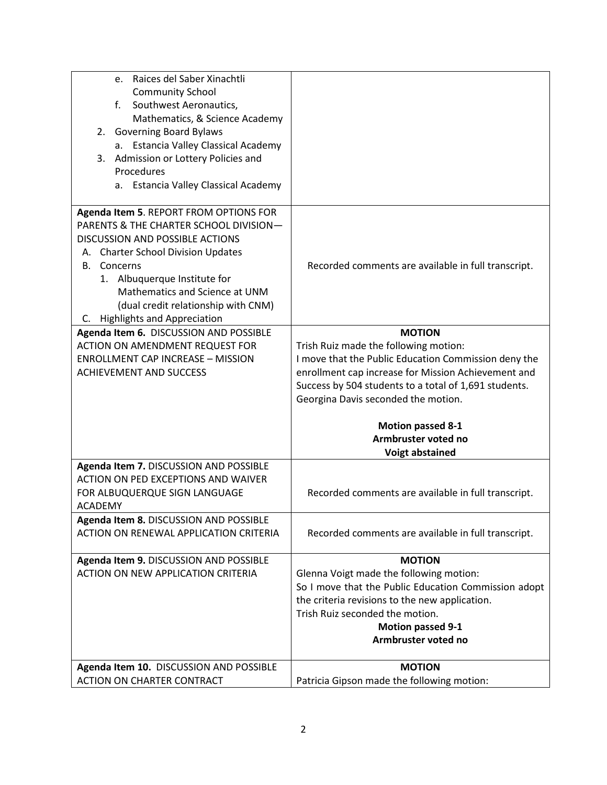| Raices del Saber Xinachtli<br>e.                                      |                                                       |
|-----------------------------------------------------------------------|-------------------------------------------------------|
| <b>Community School</b>                                               |                                                       |
| f.<br>Southwest Aeronautics,                                          |                                                       |
| Mathematics, & Science Academy                                        |                                                       |
| 2. Governing Board Bylaws                                             |                                                       |
| <b>Estancia Valley Classical Academy</b><br>а.                        |                                                       |
| Admission or Lottery Policies and<br>3.                               |                                                       |
| Procedures                                                            |                                                       |
| a. Estancia Valley Classical Academy                                  |                                                       |
|                                                                       |                                                       |
| Agenda Item 5. REPORT FROM OPTIONS FOR                                |                                                       |
| PARENTS & THE CHARTER SCHOOL DIVISION-                                |                                                       |
| <b>DISCUSSION AND POSSIBLE ACTIONS</b>                                |                                                       |
| A. Charter School Division Updates                                    |                                                       |
| <b>B.</b> Concerns                                                    | Recorded comments are available in full transcript.   |
| 1. Albuquerque Institute for                                          |                                                       |
| Mathematics and Science at UNM                                        |                                                       |
| (dual credit relationship with CNM)                                   |                                                       |
| C. Highlights and Appreciation                                        |                                                       |
| Agenda Item 6. DISCUSSION AND POSSIBLE                                | <b>MOTION</b>                                         |
| ACTION ON AMENDMENT REQUEST FOR                                       | Trish Ruiz made the following motion:                 |
| <b>ENROLLMENT CAP INCREASE - MISSION</b>                              | I move that the Public Education Commission deny the  |
| <b>ACHIEVEMENT AND SUCCESS</b>                                        | enrollment cap increase for Mission Achievement and   |
|                                                                       | Success by 504 students to a total of 1,691 students. |
|                                                                       | Georgina Davis seconded the motion.                   |
|                                                                       |                                                       |
|                                                                       | <b>Motion passed 8-1</b>                              |
|                                                                       | Armbruster voted no                                   |
|                                                                       | <b>Voigt abstained</b>                                |
| Agenda Item 7. DISCUSSION AND POSSIBLE                                |                                                       |
| ACTION ON PED EXCEPTIONS AND WAIVER                                   |                                                       |
| FOR ALBUQUERQUE SIGN LANGUAGE                                         | Recorded comments are available in full transcript.   |
| <b>ACADEMY</b>                                                        |                                                       |
| Agenda Item 8. DISCUSSION AND POSSIBLE                                |                                                       |
| ACTION ON RENEWAL APPLICATION CRITERIA                                | Recorded comments are available in full transcript.   |
|                                                                       |                                                       |
| Agenda Item 9. DISCUSSION AND POSSIBLE                                | <b>MOTION</b>                                         |
| <b>ACTION ON NEW APPLICATION CRITERIA</b>                             | Glenna Voigt made the following motion:               |
|                                                                       | So I move that the Public Education Commission adopt  |
|                                                                       | the criteria revisions to the new application.        |
|                                                                       | Trish Ruiz seconded the motion.                       |
|                                                                       | <b>Motion passed 9-1</b>                              |
|                                                                       | Armbruster voted no                                   |
|                                                                       |                                                       |
| Agenda Item 10. DISCUSSION AND POSSIBLE<br>ACTION ON CHARTER CONTRACT | <b>MOTION</b>                                         |
|                                                                       | Patricia Gipson made the following motion:            |